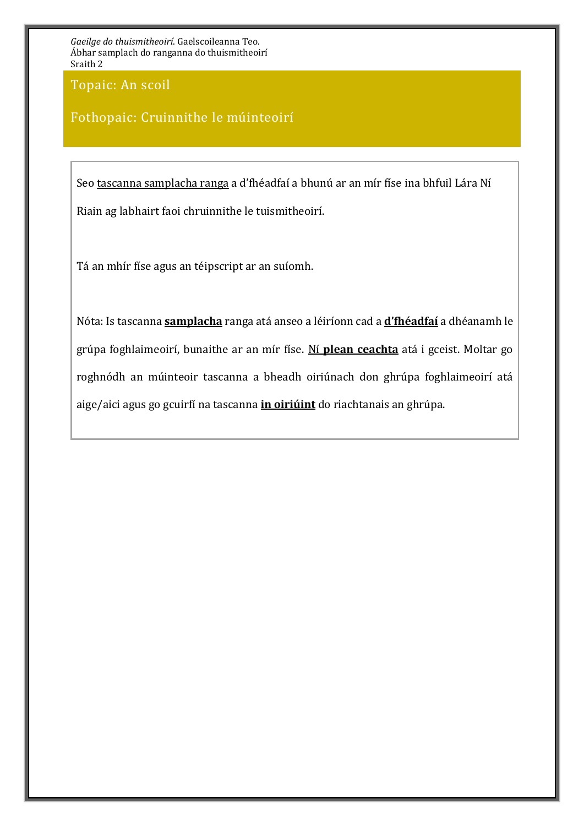Topaic: An scoil

### Fothopaic: Cruinnithe le múinteoirí

Seo tascanna samplacha ranga a d'fhéadfaí a bhunú ar an mír físe ina bhfuil Lára Ní Riain ag labhairt faoi chruinnithe le tuismitheoirí.

Tá an mhír físe agus an téipscript ar an suíomh.

Nóta: Is tascanna **samplacha** ranga atá anseo a léiríonn cad a **d'fhéadfaí** a dhéanamh le grúpa foghlaimeoirí, bunaithe ar an mír físe. Ní **plean ceachta** atá i gceist. Moltar go roghnódh an múinteoir tascanna a bheadh oiriúnach don ghrúpa foghlaimeoirí atá aige/aici agus go gcuirfí na tascanna **in oiriúint** do riachtanais an ghrúpa.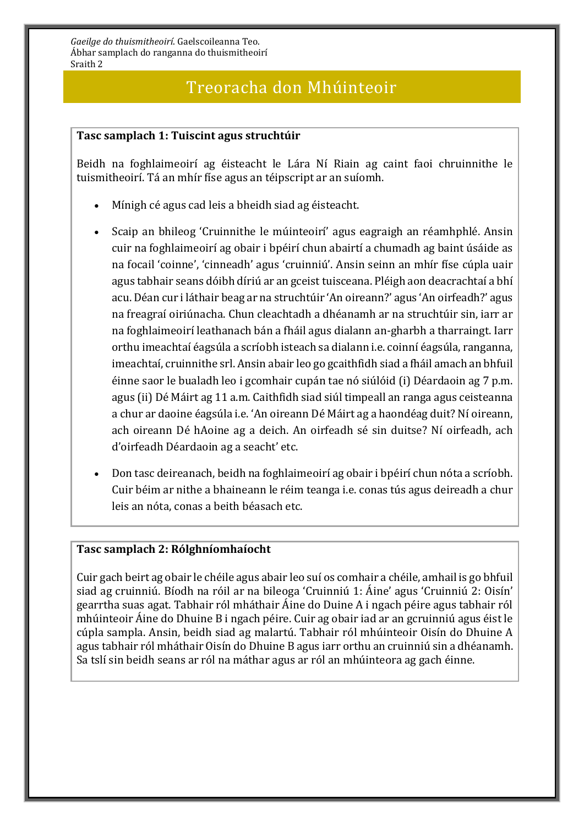## Treoracha don Mhúinteoir

#### **Tasc samplach 1: Tuiscint agus struchtúir**

Beidh na foghlaimeoirí ag éisteacht le Lára Ní Riain ag caint faoi chruinnithe le tuismitheoirí. Tá an mhír físe agus an téipscript ar an suíomh.

- Mínigh cé agus cad leis a bheidh siad ag éisteacht.
- Scaip an bhileog 'Cruinnithe le múinteoirí' agus eagraigh an réamhphlé. Ansin cuir na foghlaimeoirí ag obair i bpéirí chun abairtí a chumadh ag baint úsáide as na focail 'coinne', 'cinneadh' agus 'cruinniú'. Ansin seinn an mhír físe cúpla uair agus tabhair seans dóibh díriú ar an gceist tuisceana. Pléigh aon deacrachtaí a bhí acu. Déan cur i láthair beag ar na struchtúir 'An oireann?' agus 'An oirfeadh?' agus na freagraí oiriúnacha. Chun cleachtadh a dhéanamh ar na struchtúir sin, iarr ar na foghlaimeoirí leathanach bán a fháil agus dialann an-gharbh a tharraingt. Iarr orthu imeachtaí éagsúla a scríobh isteach sa dialann i.e. coinní éagsúla, ranganna, imeachtaí, cruinnithe srl. Ansin abair leo go gcaithfidh siad a fháil amach an bhfuil éinne saor le bualadh leo i gcomhair cupán tae nó siúlóid (i) Déardaoin ag 7 p.m. agus (ii) Dé Máirt ag 11 a.m. Caithfidh siad siúl timpeall an ranga agus ceisteanna a chur ar daoine éagsúla i.e. 'An oireann Dé Máirt ag a haondéag duit? Ní oireann, ach oireann Dé hAoine ag a deich. An oirfeadh sé sin duitse? Ní oirfeadh, ach d'oirfeadh Déardaoin ag a seacht' etc.
- Don tasc deireanach, beidh na foghlaimeoirí ag obair i bpéirí chun nóta a scríobh. Cuir béim ar nithe a bhaineann le réim teanga i.e. conas tús agus deireadh a chur leis an nóta, conas a beith béasach etc.

#### **Tasc samplach 2: Rólghníomhaíocht**

Cuir gach beirt ag obair le chéile agus abair leo suí os comhair a chéile, amhail is go bhfuil siad ag cruinniú. Bíodh na róil ar na bileoga 'Cruinniú 1: Áine' agus 'Cruinniú 2: Oisín' gearrtha suas agat. Tabhair ról mháthair Áine do Duine A i ngach péire agus tabhair ról mhúinteoir Áine do Dhuine B i ngach péire. Cuir ag obair iad ar an gcruinniú agus éist le cúpla sampla. Ansin, beidh siad ag malartú. Tabhair ról mhúinteoir Oisín do Dhuine A agus tabhair ról mháthair Oisín do Dhuine B agus iarr orthu an cruinniú sin a dhéanamh. Sa tslí sin beidh seans ar ról na máthar agus ar ról an mhúinteora ag gach éinne.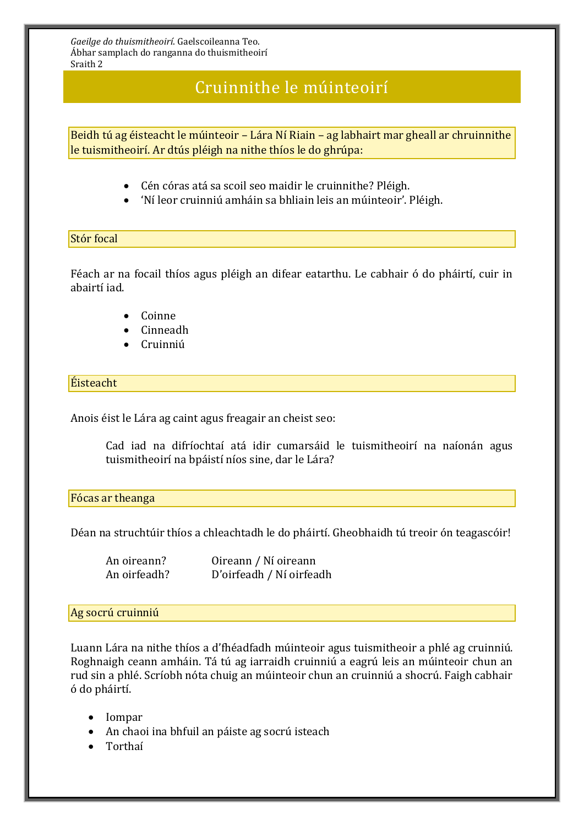## Cruinnithe le múinteoirí

Beidh tú ag éisteacht le múinteoir – Lára Ní Riain – ag labhairt mar gheall ar chruinnithe le tuismitheoirí. Ar dtús pléigh na nithe thíos le do ghrúpa:

- Cén córas atá sa scoil seo maidir le cruinnithe? Pléigh.
- 'Ní leor cruinniú amháin sa bhliain leis an múinteoir'. Pléigh.

#### Stór focal

Féach ar na focail thíos agus pléigh an difear eatarthu. Le cabhair ó do pháirtí, cuir in abairtí iad.

- Coinne
- Cinneadh
- Cruinniú

#### Éisteacht

Anois éist le Lára ag caint agus freagair an cheist seo:

Cad iad na difríochtaí atá idir cumarsáid le tuismitheoirí na naíonán agus tuismitheoirí na bpáistí níos sine, dar le Lára?

#### Fócas ar theanga

Déan na struchtúir thíos a chleachtadh le do pháirtí. Gheobhaidh tú treoir ón teagascóir!

| An oireann?  | Oireann / Ní oireann     |
|--------------|--------------------------|
| An oirfeadh? | D'oirfeadh / Ní oirfeadh |

#### Ag socrú cruinniú

Luann Lára na nithe thíos a d'fhéadfadh múinteoir agus tuismitheoir a phlé ag cruinniú. Roghnaigh ceann amháin. Tá tú ag iarraidh cruinniú a eagrú leis an múinteoir chun an rud sin a phlé. Scríobh nóta chuig an múinteoir chun an cruinniú a shocrú. Faigh cabhair ó do pháirtí.

- Iompar
- An chaoi ina bhfuil an páiste ag socrú isteach
- Torthaí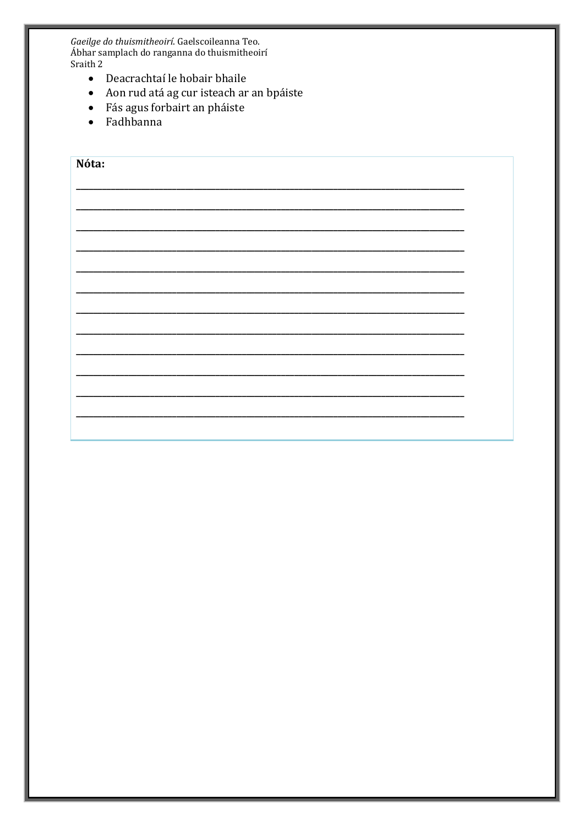- Deacrachtaí le hobair bhaile
- · Aon rud atá ag cur isteach ar an bpáiste
- · Fás agus forbairt an pháiste
- · Fadhbanna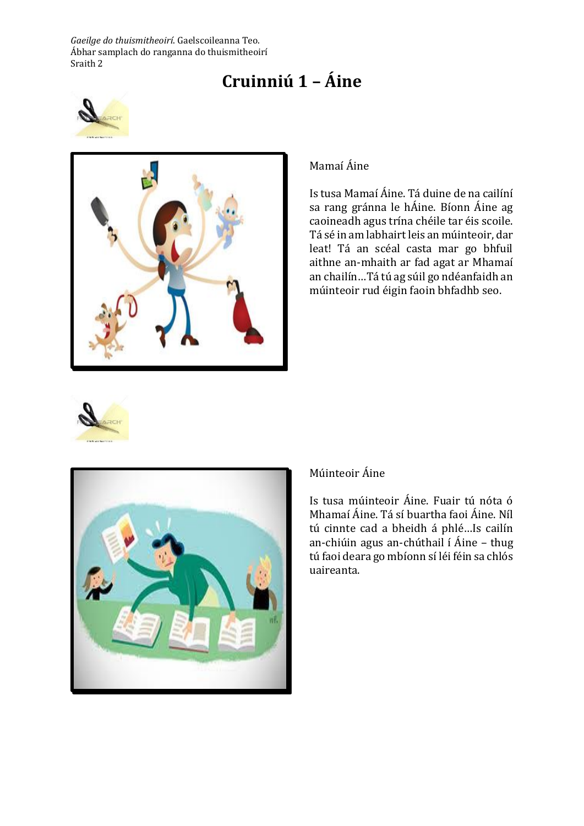# **Cruinniú 1 – Áine**





#### Mamaí Áine

Is tusa Mamaí Áine. Tá duine de na cailíní sa rang gránna le hÁine. Bíonn Áine ag caoineadh agus trína chéile tar éis scoile. Tá sé in am labhairt leis an múinteoir, dar leat! Tá an scéal casta mar go bhfuil aithne an-mhaith ar fad agat ar Mhamaí an chailín…Tá tú ag súil go ndéanfaidh an múinteoir rud éigin faoin bhfadhb seo.





#### Múinteoir Áine

Is tusa múinteoir Áine. Fuair tú nóta ó Mhamaí Áine. Tá sí buartha faoi Áine. Níl tú cinnte cad a bheidh á phlé…Is cailín an-chiúin agus an-chúthail í Áine – thug tú faoi deara go mbíonn sí léi féin sa chlós uaireanta.